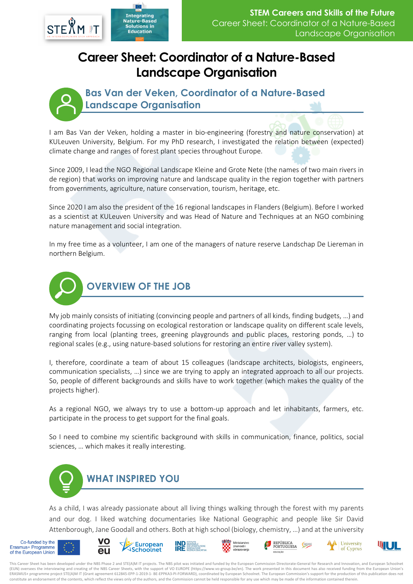

## **Career Sheet: Coordinator of a Nature-Based Landscape Organisation**



**Bas Van der Veken, Coordinator of a Nature-Based Landscape Organisation**

I am Bas Van der Veken, holding a master in bio-engineering (forestry and nature conservation) at KULeuven University, Belgium. For my PhD research, I investigated the relation between (expected) climate change and ranges of forest plant species throughout Europe.

Since 2009, I lead the NGO Regional Landscape Kleine and Grote Nete (the names of two main rivers in de region) that works on improving nature and landscape quality in the region together with partners from governments, agriculture, nature conservation, tourism, heritage, etc.

Since 2020 I am also the president of the 16 regional landscapes in Flanders (Belgium). Before I worked as a scientist at KULeuven University and was Head of Nature and Techniques at an NGO combining nature management and social integration.

In my free time as a volunteer, I am one of the managers of nature reserve Landschap De Liereman in northern Belgium.



My job mainly consists of initiating (convincing people and partners of all kinds, finding budgets, …) and coordinating projects focussing on ecological restoration or landscape quality on different scale levels, ranging from local (planting trees, greening playgrounds and public places, restoring ponds, …) to regional scales (e.g., using nature-based solutions for restoring an entire river valley system).

I, therefore, coordinate a team of about 15 colleagues (landscape architects, biologists, engineers, communication specialists, …) since we are trying to apply an integrated approach to all our projects. So, people of different backgrounds and skills have to work together (which makes the quality of the projects higher).

As a regional NGO, we always try to use a bottom-up approach and let inhabitants, farmers, etc. participate in the process to get support for the final goals.

So I need to combine my scientific background with skills in communication, finance, politics, social sciences, … which makes it really interesting.



As a child, I was already passionate about all living things walking through the forest with my parents and our dog. I liked watching documentaries like National Geographic and people like Sir David Attenborough, Jane Goodall and others. Both at high school (biology, chemistry, …) and at the university



















This Career Sheet has been developed under the NBS Phase 2 and STE(A)M IT projects. The NBS pilot was initiated and funded by the European Commission Directorate-General for Research and Innovation, and European Schoolnet (EUN) oversees the interviewing and creating of the NBS Career Sheets, with the support of VO EUROPE (https://www.vo-group.be/en). The work presented in this document has also received funding from the European Union's ERASMUS+ programme project STE(A)M IT (Grant agreement 612845-EPP-1-2019-1- BE-EPPKA3-PI-FORWARD), coordinated by European Schoolnet. The European Commission's support for the production of this publication does not constitute an endorsement of the contents, which reflect the views only of the authors, and the Commission cannot be held responsible for any use which may be made of the information contained therein.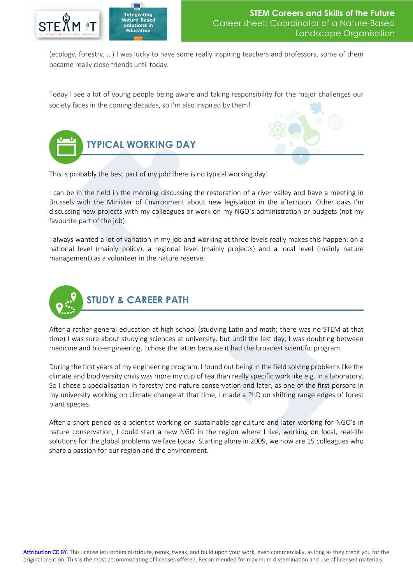

(ecology, forestry, …) I was lucky to have some really inspiring teachers and professors, some of them became really close friends until today.

Today I see a lot of young people being aware and taking responsibility for the major challenges our society faces in the coming decades, so I'm also inspired by them!





This is probably the best part of my job: there is no typical working day!

I can be in the field in the morning discussing the restoration of a river valley and have a meeting in Brussels with the Minister of Environment about new legislation in the afternoon. Other days I'm discussing new projects with my colleagues or work on my NGO's administration or budgets (not my favourite part of the job).

I always wanted a lot of variation in my job and working at three levels really makes this happen: on a national level (mainly policy), a regional level (mainly projects) and a local level (mainly nature management) as a volunteer in the nature reserve.



After a rather general education at high school (studying Latin and math; there was no STEM at that time) I was sure about studying sciences at university, but until the last day, I was doubting between medicine and bio-engineering. I chose the latter because it had the broadest scientific program.

During the first years of my engineering program, I found out being in the field solving problems like the climate and biodiversity crisis was more my cup of tea than really specific work like e.g. in a laboratory. So I chose a specialisation in forestry and nature conservation and later, as one of the first persons in my university working on climate change at that time, I made a PhD on shifting range edges of forest plant species.

After a short period as a scientist working on sustainable agriculture and later working for NGO's in nature conservation, I could start a new NGO in the region where I live, working on local, real-life solutions for the global problems we face today. Starting alone in 2009, we now are 15 colleagues who share a passion for our region and the environment.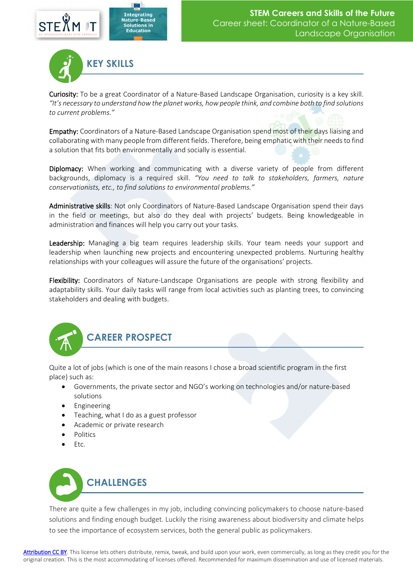



Curiosity: To be a great Coordinator of a Nature-Based Landscape Organisation, curiosity is a key skill. *"It's necessary to understand how the planet works, how people think, and combine both to find solutions to current problems."*

Empathy: Coordinators of a Nature-Based Landscape Organisation spend most of their days liaising and collaborating with many people from different fields. Therefore, being emphatic with their needs to find a solution that fits both environmentally and socially is essential.

Diplomacy: When working and communicating with a diverse variety of people from different backgrounds, diplomacy is a required skill. *"You need to talk to stakeholders, farmers, nature conservationists, etc., to find solutions to environmental problems."*

Administrative skills: Not only Coordinators of Nature-Based Landscape Organisation spend their days in the field or meetings, but also do they deal with projects' budgets. Being knowledgeable in administration and finances will help you carry out your tasks.

Leadership: Managing a big team requires leadership skills. Your team needs your support and leadership when launching new projects and encountering unexpected problems. Nurturing healthy relationships with your colleagues will assure the future of the organisations' projects.

Flexibility: Coordinators of Nature-Landscape Organisations are people with strong flexibility and adaptability skills. Your daily tasks will range from local activities such as planting trees, to convincing stakeholders and dealing with budgets.



Quite a lot of jobs (which is one of the main reasons I chose a broad scientific program in the first place) such as:

- Governments, the private sector and NGO's working on technologies and/or nature-based solutions
- **Engineering**
- Teaching, what I do as a guest professor
- Academic or private research
- Politics
- Etc.



There are quite a few challenges in my job, including convincing policymakers to choose nature-based solutions and finding enough budget. Luckily the rising awareness about biodiversity and climate helps to see the importance of ecosystem services, both the general public as policymakers.

[Attribution CC BY.](https://creativecommons.org/licenses/by/4.0/) This license lets others distribute, remix, tweak, and build upon your work, even commercially, as long as they credit you for the original creation. This is the most accommodating of licenses offered. Recommended for maximum dissemination and use of licensed materials.